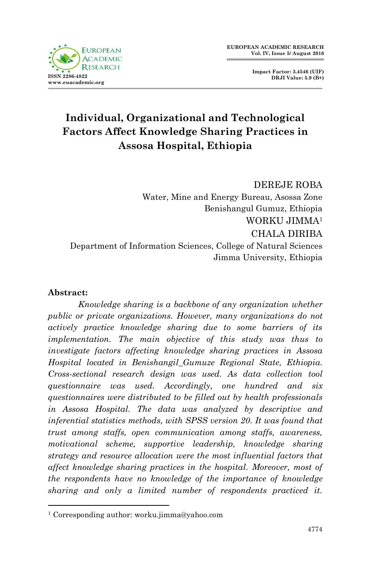

**Impact Factor: 3.4546 (UIF) DRJI Value: 5.9 (B+)**

# **Individual, Organizational and Technological Factors Affect Knowledge Sharing Practices in Assosa Hospital, Ethiopia**

DEREJE ROBA Water, Mine and Energy Bureau, Asossa Zone Benishangul Gumuz, Ethiopia WORKU JIMMA<sup>1</sup> CHALA DIRIBA Department of Information Sciences, College of Natural Sciences Jimma University, Ethiopia

#### **Abstract:**

1

 *Knowledge sharing is a backbone of any organization whether public or private organizations. However, many organizations do not actively practice knowledge sharing due to some barriers of its implementation. The main objective of this study was thus to investigate factors affecting knowledge sharing practices in Assosa Hospital located in Benishangil\_Gumuze Regional State, Ethiopia. Cross-sectional research design was used. As data collection tool questionnaire was used. Accordingly, one hundred and six questionnaires were distributed to be filled out by health professionals in Assosa Hospital. The data was analyzed by descriptive and inferential statistics methods, with SPSS version 20. It was found that trust among staffs, open communication among staffs, awareness, motivational scheme, supportive leadership, knowledge sharing strategy and resource allocation were the most influential factors that affect knowledge sharing practices in the hospital. Moreover, most of the respondents have no knowledge of the importance of knowledge sharing and only a limited number of respondents practiced it.* 

<sup>1</sup> Corresponding author: worku.jimma@yahoo.com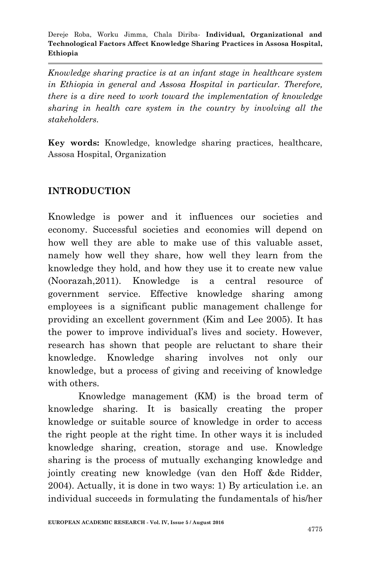*Knowledge sharing practice is at an infant stage in healthcare system in Ethiopia in general and Assosa Hospital in particular. Therefore, there is a dire need to work toward the implementation of knowledge sharing in health care system in the country by involving all the stakeholders.*

**Key words:** Knowledge, knowledge sharing practices, healthcare, Assosa Hospital, Organization

# **INTRODUCTION**

Knowledge is power and it influences our societies and economy. Successful societies and economies will depend on how well they are able to make use of this valuable asset, namely how well they share, how well they learn from the knowledge they hold, and how they use it to create new value (Noorazah,2011). Knowledge is a central resource of government service. Effective knowledge sharing among employees is a significant public management challenge for providing an excellent government (Kim and Lee 2005). It has the power to improve individual's lives and society. However, research has shown that people are reluctant to share their knowledge. Knowledge sharing involves not only our knowledge, but a process of giving and receiving of knowledge with others.

Knowledge management (KM) is the broad term of knowledge sharing. It is basically creating the proper knowledge or suitable source of knowledge in order to access the right people at the right time. In other ways it is included knowledge sharing, creation, storage and use. Knowledge sharing is the process of mutually exchanging knowledge and jointly creating new knowledge (van den Hoff &de Ridder, 2004). Actually, it is done in two ways: 1) By articulation i.e. an individual succeeds in formulating the fundamentals of his/her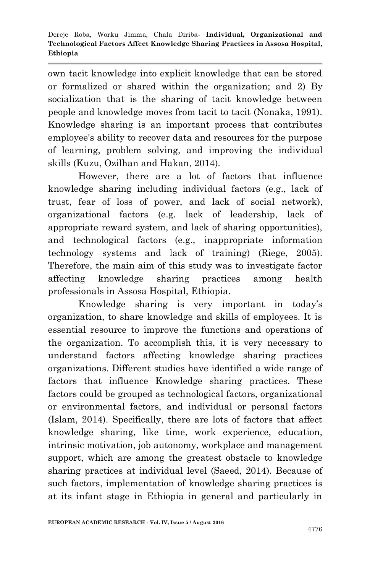own tacit knowledge into explicit knowledge that can be stored or formalized or shared within the organization; and 2) By socialization that is the sharing of tacit knowledge between people and knowledge moves from tacit to tacit (Nonaka, 1991). Knowledge sharing is an important process that contributes employee's ability to recover data and resources for the purpose of learning, problem solving, and improving the individual skills (Kuzu, Ozilhan and Hakan, 2014).

However, there are a lot of factors that influence knowledge sharing including individual factors (e.g., lack of trust, fear of loss of power, and lack of social network), organizational factors (e.g. lack of leadership, lack of appropriate reward system, and lack of sharing opportunities), and technological factors (e.g., inappropriate information technology systems and lack of training) (Riege, 2005). Therefore, the main aim of this study was to investigate factor affecting knowledge sharing practices among health professionals in Assosa Hospital, Ethiopia.

Knowledge sharing is very important in today's organization, to share knowledge and skills of employees. It is essential resource to improve the functions and operations of the organization. To accomplish this, it is very necessary to understand factors affecting knowledge sharing practices organizations. Different studies have identified a wide range of factors that influence Knowledge sharing practices. These factors could be grouped as technological factors, organizational or environmental factors, and individual or personal factors (Islam, 2014). Specifically, there are lots of factors that affect knowledge sharing, like time, work experience, education, intrinsic motivation, job autonomy, workplace and management support, which are among the greatest obstacle to knowledge sharing practices at individual level (Saeed, 2014). Because of such factors, implementation of knowledge sharing practices is at its infant stage in Ethiopia in general and particularly in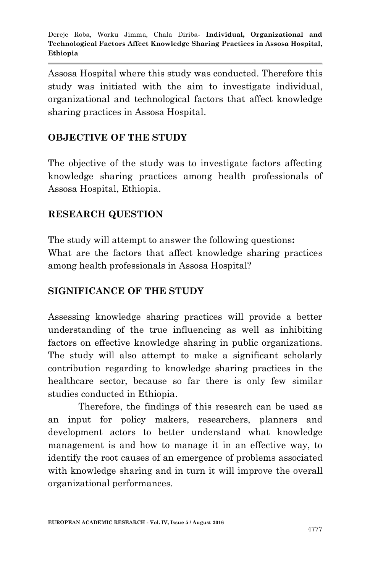Assosa Hospital where this study was conducted. Therefore this study was initiated with the aim to investigate individual, organizational and technological factors that affect knowledge sharing practices in Assosa Hospital.

## **OBJECTIVE OF THE STUDY**

The objective of the study was to investigate factors affecting knowledge sharing practices among health professionals of Assosa Hospital, Ethiopia.

## **RESEARCH QUESTION**

The study will attempt to answer the following questions**:**  What are the factors that affect knowledge sharing practices among health professionals in Assosa Hospital?

## **SIGNIFICANCE OF THE STUDY**

Assessing knowledge sharing practices will provide a better understanding of the true influencing as well as inhibiting factors on effective knowledge sharing in public organizations. The study will also attempt to make a significant scholarly contribution regarding to knowledge sharing practices in the healthcare sector, because so far there is only few similar studies conducted in Ethiopia.

Therefore, the findings of this research can be used as an input for policy makers, researchers, planners and development actors to better understand what knowledge management is and how to manage it in an effective way, to identify the root causes of an emergence of problems associated with knowledge sharing and in turn it will improve the overall organizational performances.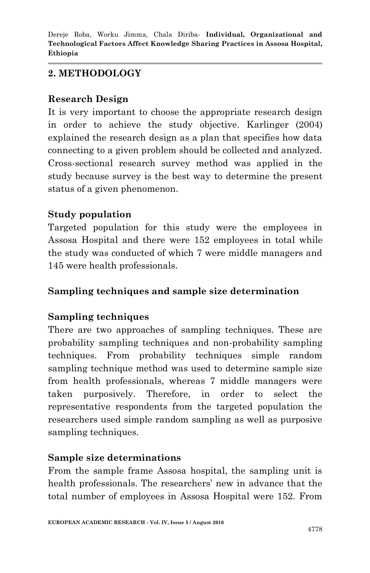# **2. METHODOLOGY**

#### **Research Design**

It is very important to choose the appropriate research design in order to achieve the study objective. Karlinger (2004) explained the research design as a plan that specifies how data connecting to a given problem should be collected and analyzed. Cross-sectional research survey method was applied in the study because survey is the best way to determine the present status of a given phenomenon.

## **Study population**

Targeted population for this study were the employees in Assosa Hospital and there were 152 employees in total while the study was conducted of which 7 were middle managers and 145 were health professionals.

## **Sampling techniques and sample size determination**

## **Sampling techniques**

There are two approaches of sampling techniques. These are probability sampling techniques and non-probability sampling techniques. From probability techniques simple random sampling technique method was used to determine sample size from health professionals, whereas 7 middle managers were taken purposively. Therefore, in order to select the representative respondents from the targeted population the researchers used simple random sampling as well as purposive sampling techniques.

## **Sample size determinations**

From the sample frame Assosa hospital, the sampling unit is health professionals. The researchers' new in advance that the total number of employees in Assosa Hospital were 152. From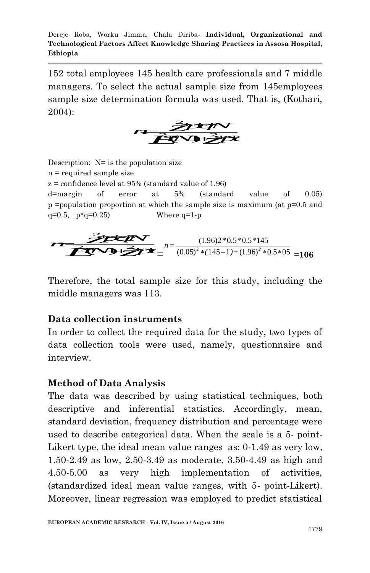152 total employees 145 health care professionals and 7 middle managers. To select the actual sample size from 145employees sample size determination formula was used. That is, (Kothari, *z* 2004): pp<sup>p</sup>



Description:  $N=$  is the population size n = required sample size  $z =$ confidence level at 95% (standard value of 1.96) d=margin of error at 5% (standard value of 0.05) p =population proportion at which the sample size is maximum (at  $p=0.5$  and q=0.5,  $p \times q = 0.25$  Where q=1-p  $\overrightarrow{q=0.25}$  Where  $q=1-p$ <br>  $\overrightarrow{q=0.25}$  Where  $q=1-p$ <br>  $\overrightarrow{q=0.25}$  Where  $q=1-p$ <br>  $(1.96)2*0.5*0.5*145$ <br>  $(0.05)^2*(145-1)+(1.96)^2*0.5*05$  1.00

where 
$$
q=1-p
$$
  
\nwhere  $q=1-p$   
\n $n = \frac{(1.96)2 * 0.5 * 0.5 * 145}{(0.05)^2 * (145-1) + (1.96)^2 * 0.5 * 05} = 106$ 

Therefore, the total sample size for this study, including the middle managers was 113.

#### **Data collection instruments**

In order to collect the required data for the study, two types of data collection tools were used, namely, questionnaire and interview.

#### **Method of Data Analysis**

The data was described by using statistical techniques, both descriptive and inferential statistics. Accordingly, mean, standard deviation, frequency distribution and percentage were used to describe categorical data. When the scale is a 5- point-Likert type, the ideal mean value ranges as: 0-1.49 as very low, 1.50-2.49 as low, 2.50-3.49 as moderate, 3.50-4.49 as high and 4.50-5.00 as very high implementation of activities, (standardized ideal mean value ranges, with 5- point-Likert). Moreover, linear regression was employed to predict statistical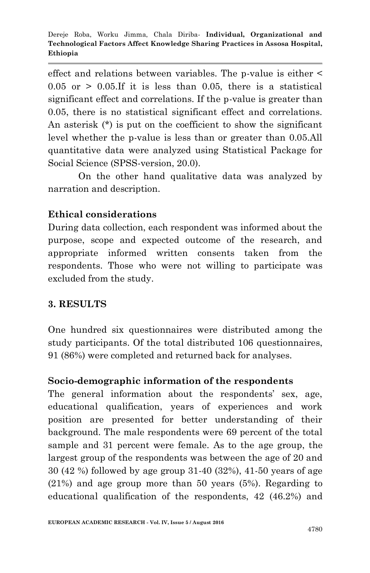effect and relations between variables. The p-value is either <  $0.05$  or  $> 0.05$ . If it is less than 0.05, there is a statistical significant effect and correlations. If the p-value is greater than 0.05, there is no statistical significant effect and correlations. An asterisk (\*) is put on the coefficient to show the significant level whether the p-value is less than or greater than 0.05.All quantitative data were analyzed using Statistical Package for Social Science (SPSS-version, 20.0).

On the other hand qualitative data was analyzed by narration and description.

## **Ethical considerations**

During data collection, each respondent was informed about the purpose, scope and expected outcome of the research, and appropriate informed written consents taken from the respondents. Those who were not willing to participate was excluded from the study.

#### **3. RESULTS**

One hundred six questionnaires were distributed among the study participants. Of the total distributed 106 questionnaires, 91 (86%) were completed and returned back for analyses.

#### **Socio-demographic information of the respondents**

The general information about the respondents' sex, age, educational qualification, years of experiences and work position are presented for better understanding of their background. The male respondents were 69 percent of the total sample and 31 percent were female. As to the age group, the largest group of the respondents was between the age of 20 and 30 (42 %) followed by age group 31-40 (32%), 41-50 years of age (21%) and age group more than 50 years (5%). Regarding to educational qualification of the respondents, 42 (46.2%) and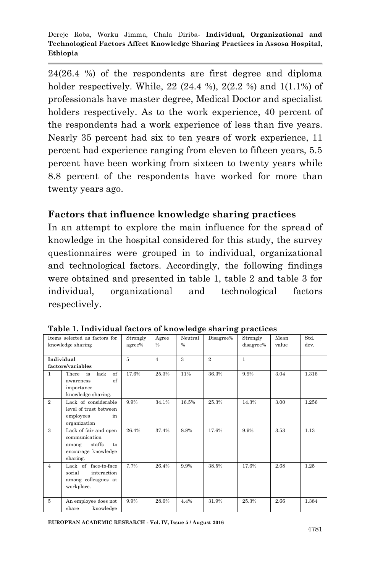24(26.4 %) of the respondents are first degree and diploma holder respectively. While,  $22(24.4\%)$ ,  $2(2.2\%)$  and  $1(1.1\%)$  of professionals have master degree, Medical Doctor and specialist holders respectively. As to the work experience, 40 percent of the respondents had a work experience of less than five years. Nearly 35 percent had six to ten years of work experience, 11 percent had experience ranging from eleven to fifteen years, 5.5 percent have been working from sixteen to twenty years while 8.8 percent of the respondents have worked for more than twenty years ago.

## **Factors that influence knowledge sharing practices**

In an attempt to explore the main influence for the spread of knowledge in the hospital considered for this study, the survey questionnaires were grouped in to individual, organizational and technological factors. Accordingly, the following findings were obtained and presented in table 1, table 2 and table 3 for individual, organizational and technological factors respectively.

| Items selected as factors for |                                                                                                    | Strongly       | Agree          | Neutral       | Disagree%      | Strongly     | Mean  | Std.  |
|-------------------------------|----------------------------------------------------------------------------------------------------|----------------|----------------|---------------|----------------|--------------|-------|-------|
| knowledge sharing             |                                                                                                    | agree%         | $\frac{0}{0}$  | $\frac{0}{0}$ |                | disagree%    | value | dev.  |
|                               |                                                                                                    |                |                |               |                |              |       |       |
|                               | Individual                                                                                         | $\overline{5}$ | $\overline{4}$ | $\mathcal{R}$ | $\overline{2}$ | $\mathbf{1}$ |       |       |
|                               | factors/variables                                                                                  |                |                |               |                |              |       |       |
| $\mathbf{1}$                  | of<br>There is<br>lack<br>of<br>awareness                                                          | 17.6%          | 25.3%          | 11%           | 36.3%          | 9.9%         | 3.04  | 1.316 |
|                               | importance                                                                                         |                |                |               |                |              |       |       |
|                               | knowledge sharing.                                                                                 |                |                |               |                |              |       |       |
| $\overline{2}$                | Lack of considerable<br>level of trust between<br>employees<br>in<br>organization                  | 9.9%           | 34.1%          | 16.5%         | 25.3%          | 14.3%        | 3.00  | 1.256 |
| $\mathbf{a}$                  | Lack of fair and open<br>communication<br>staffs<br>among<br>to<br>encourage knowledge<br>sharing. | 26.4%          | 37.4%          | 8.8%          | 17.6%          | 9.9%         | 3.53  | 1.13  |
| $\overline{4}$                | Lack of face-to-face<br>social<br>interaction<br>among colleagues at<br>workplace.                 | 7.7%           | 26.4%          | 9.9%          | 38.5%          | 17.6%        | 2.68  | 1.25  |
| $\overline{5}$                | An employee does not<br>share<br>knowledge                                                         | 9.9%           | 28.6%          | 4.4%          | 31.9%          | 25.3%        | 2.66  | 1.384 |

**Table 1. Individual factors of knowledge sharing practices**

**EUROPEAN ACADEMIC RESEARCH - Vol. IV, Issue 5 / August 2016**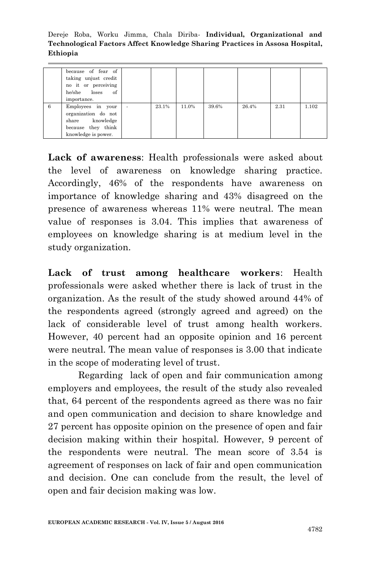|   | because of fear of<br>taking unjust credit<br>no it or perceiving<br>he/she loses of<br>importance.      |                          |       |       |       |       |      |       |
|---|----------------------------------------------------------------------------------------------------------|--------------------------|-------|-------|-------|-------|------|-------|
| 6 | Employees in your<br>organization do not<br>share knowledge<br>because they think<br>knowledge is power. | $\overline{\phantom{a}}$ | 23.1% | 11.0% | 39.6% | 26.4% | 2.31 | 1.102 |

**Lack of awareness**: Health professionals were asked about the level of awareness on knowledge sharing practice. Accordingly, 46% of the respondents have awareness on importance of knowledge sharing and 43% disagreed on the presence of awareness whereas 11% were neutral. The mean value of responses is 3.04. This implies that awareness of employees on knowledge sharing is at medium level in the study organization.

**Lack of trust among healthcare workers**: Health professionals were asked whether there is lack of trust in the organization. As the result of the study showed around 44% of the respondents agreed (strongly agreed and agreed) on the lack of considerable level of trust among health workers. However, 40 percent had an opposite opinion and 16 percent were neutral. The mean value of responses is 3.00 that indicate in the scope of moderating level of trust.

Regarding lack of open and fair communication among employers and employees, the result of the study also revealed that, 64 percent of the respondents agreed as there was no fair and open communication and decision to share knowledge and 27 percent has opposite opinion on the presence of open and fair decision making within their hospital. However, 9 percent of the respondents were neutral. The mean score of 3.54 is agreement of responses on lack of fair and open communication and decision. One can conclude from the result, the level of open and fair decision making was low.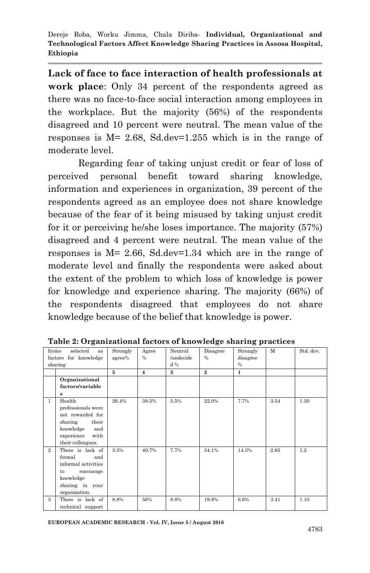**Lack of face to face interaction of health professionals at work place**: Only 34 percent of the respondents agreed as there was no face-to-face social interaction among employees in the workplace. But the majority (56%) of the respondents disagreed and 10 percent were neutral. The mean value of the responses is M= 2.68, Sd.dev=1.255 which is in the range of moderate level.

Regarding fear of taking unjust credit or fear of loss of perceived personal benefit toward sharing knowledge, information and experiences in organization, 39 percent of the respondents agreed as an employee does not share knowledge because of the fear of it being misused by taking unjust credit for it or perceiving he/she loses importance. The majority (57%) disagreed and 4 percent were neutral. The mean value of the responses is M= 2.66, Sd.dev=1.34 which are in the range of moderate level and finally the respondents were asked about the extent of the problem to which loss of knowledge is power for knowledge and experience sharing. The majority (66%) of the respondents disagreed that employees do not share knowledge because of the belief that knowledge is power.

| Items<br>selected<br>as |                                                                                                                                     | Strongly | Agree          | Neutral      | Disagree       | Strongly      | $\mathbf{M}$ | Std. dev. |
|-------------------------|-------------------------------------------------------------------------------------------------------------------------------------|----------|----------------|--------------|----------------|---------------|--------------|-----------|
| factors for knowledge   |                                                                                                                                     | agree%   | $\frac{0}{0}$  | /undecide    | $\frac{0}{0}$  | disagree      |              |           |
|                         | sharing                                                                                                                             |          |                | d%           |                | $\frac{0}{0}$ |              |           |
|                         |                                                                                                                                     | 5        | $\overline{4}$ | $\mathbf{a}$ | $\overline{2}$ | $\mathbf{1}$  |              |           |
|                         | Organizational                                                                                                                      |          |                |              |                |               |              |           |
|                         | factors/variable                                                                                                                    |          |                |              |                |               |              |           |
|                         | s                                                                                                                                   |          |                |              |                |               |              |           |
| $\mathbf{1}$            | Health<br>professionals were<br>not rewarded for<br>their<br>sharing<br>knowledge<br>and<br>with<br>experience<br>their colleagues. | 26.4%    | 38.5%          | 5.5%         | 22.0%          | 7.7%          | 3.54         | 1.30      |
| $\overline{2}$          | There is lack of<br>formal<br>and<br>informal activities<br>encourage<br>to<br>knowledge<br>sharing in your<br>organization.        | 3.3%     | 40.7%          | 7.7%         | 34.1%          | 14.3%         | 2.85         | 1.2       |
| 3                       | There is lack of<br>technical support                                                                                               | 8.8%     | 56%            | 8.8%         | 19.8%          | 6.6%          | 3.41         | 1.10      |

**Table 2: Organizational factors of knowledge sharing practices**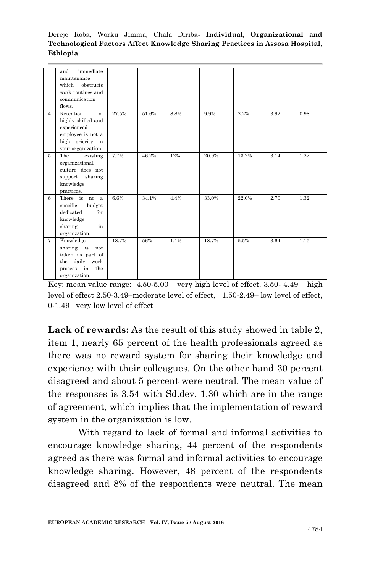|                | immediate<br>and        |       |       |      |       |       |      |      |
|----------------|-------------------------|-------|-------|------|-------|-------|------|------|
|                | maintenance             |       |       |      |       |       |      |      |
|                | which obstructs         |       |       |      |       |       |      |      |
|                | work routines and       |       |       |      |       |       |      |      |
|                | communication           |       |       |      |       |       |      |      |
|                | flows.                  |       |       |      |       |       |      |      |
| $\overline{4}$ | Retention<br>$\alpha$ f | 27.5% | 51.6% | 8.8% | 9.9%  | 2.2%  | 3.92 | 0.98 |
|                | highly skilled and      |       |       |      |       |       |      |      |
|                | experienced             |       |       |      |       |       |      |      |
|                | employee is not a       |       |       |      |       |       |      |      |
|                | high priority in        |       |       |      |       |       |      |      |
|                | your organization.      |       |       |      |       |       |      |      |
| $\overline{5}$ | The<br>existing         | 7.7%  | 46.2% | 12%  | 20.9% | 13.2% | 3.14 | 1.22 |
|                | organizational          |       |       |      |       |       |      |      |
|                | culture does not        |       |       |      |       |       |      |      |
|                | support sharing         |       |       |      |       |       |      |      |
|                | knowledge               |       |       |      |       |       |      |      |
|                | practices.              |       |       |      |       |       |      |      |
| 6              | There is no a           | 6.6%  | 34.1% | 4.4% | 33.0% | 22.0% | 2.70 | 1.32 |
|                | specific<br>budget      |       |       |      |       |       |      |      |
|                | dedicated<br>for        |       |       |      |       |       |      |      |
|                | knowledge               |       |       |      |       |       |      |      |
|                | sharing<br>in           |       |       |      |       |       |      |      |
|                | organization.           |       |       |      |       |       |      |      |
| $\overline{7}$ | Knowledge               | 18.7% | 56%   | 1.1% | 18.7% | 5.5%  | 3.64 | 1.15 |
|                | sharing is<br>not       |       |       |      |       |       |      |      |
|                | taken as part of        |       |       |      |       |       |      |      |
|                | the daily work          |       |       |      |       |       |      |      |
|                | process in<br>the       |       |       |      |       |       |      |      |
|                | organization.           |       |       |      |       |       |      |      |

Key: mean value range:  $4.50 - 5.00 -$  very high level of effect.  $3.50 - 4.49 -$  high level of effect 2.50-3.49–moderate level of effect, 1.50-2.49– low level of effect, 0-1.49– very low level of effect

**Lack of rewards:** As the result of this study showed in table 2, item 1, nearly 65 percent of the health professionals agreed as there was no reward system for sharing their knowledge and experience with their colleagues. On the other hand 30 percent disagreed and about 5 percent were neutral. The mean value of the responses is 3.54 with Sd.dev, 1.30 which are in the range of agreement, which implies that the implementation of reward system in the organization is low.

With regard to lack of formal and informal activities to encourage knowledge sharing, 44 percent of the respondents agreed as there was formal and informal activities to encourage knowledge sharing. However, 48 percent of the respondents disagreed and 8% of the respondents were neutral. The mean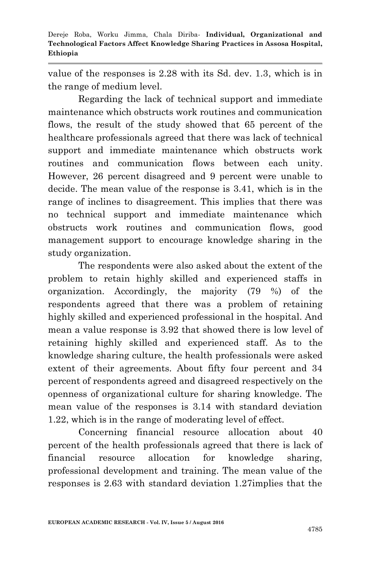value of the responses is 2.28 with its Sd. dev. 1.3, which is in the range of medium level.

Regarding the lack of technical support and immediate maintenance which obstructs work routines and communication flows, the result of the study showed that 65 percent of the healthcare professionals agreed that there was lack of technical support and immediate maintenance which obstructs work routines and communication flows between each unity. However, 26 percent disagreed and 9 percent were unable to decide. The mean value of the response is 3.41, which is in the range of inclines to disagreement. This implies that there was no technical support and immediate maintenance which obstructs work routines and communication flows, good management support to encourage knowledge sharing in the study organization.

 The respondents were also asked about the extent of the problem to retain highly skilled and experienced staffs in organization. Accordingly, the majority (79 %) of the respondents agreed that there was a problem of retaining highly skilled and experienced professional in the hospital. And mean a value response is 3.92 that showed there is low level of retaining highly skilled and experienced staff. As to the knowledge sharing culture, the health professionals were asked extent of their agreements. About fifty four percent and 34 percent of respondents agreed and disagreed respectively on the openness of organizational culture for sharing knowledge. The mean value of the responses is 3.14 with standard deviation 1.22, which is in the range of moderating level of effect.

Concerning financial resource allocation about 40 percent of the health professionals agreed that there is lack of financial resource allocation for knowledge sharing, professional development and training. The mean value of the responses is 2.63 with standard deviation 1.27implies that the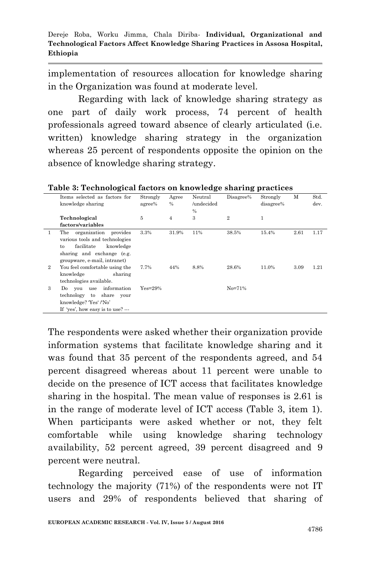implementation of resources allocation for knowledge sharing in the Organization was found at moderate level.

Regarding with lack of knowledge sharing strategy as one part of daily work process, 74 percent of health professionals agreed toward absence of clearly articulated (i.e. written) knowledge sharing strategy in the organization whereas 25 percent of respondents opposite the opinion on the absence of knowledge sharing strategy.

|   | Items selected as factors for<br>knowledge sharing                                                                                                              | Strongly<br>agree% | Agree<br>$\frac{0}{6}$ | Neutral<br>/undecided<br>$\%$ | Disagree%      | Strongly<br>disagree% | М    | Std.<br>dev. |
|---|-----------------------------------------------------------------------------------------------------------------------------------------------------------------|--------------------|------------------------|-------------------------------|----------------|-----------------------|------|--------------|
|   | Technological                                                                                                                                                   | 5                  | $\overline{4}$         | 3                             | $\overline{2}$ | $\mathbf{1}$          |      |              |
|   | factors/variables                                                                                                                                               |                    |                        |                               |                |                       |      |              |
| 1 | The organization provides<br>various tools and technologies<br>facilitate<br>knowledge<br>$t_{0}$<br>sharing and exchange (e.g.<br>groupware, e-mail, intranet) | 3.3%               | 31.9%                  | 11%                           | 38.5%          | 15.4%                 | 2.61 | 1.17         |
| 2 | You feel comfortable using the<br>knowledge<br>sharing<br>technologies available.                                                                               | 7.7%               | 44%                    | 8.8%                          | 28.6%          | 11.0%                 | 3.09 | 1.21         |
| 3 | Do you use information<br>technology to share your<br>knowledge? 'Yes' /'No'<br>If 'yes', how easy is to use?                                                   | $Yes=29\%$         |                        |                               | $No = 71%$     |                       |      |              |

**Table 3: Technological factors on knowledge sharing practices**

The respondents were asked whether their organization provide information systems that facilitate knowledge sharing and it was found that 35 percent of the respondents agreed, and 54 percent disagreed whereas about 11 percent were unable to decide on the presence of ICT access that facilitates knowledge sharing in the hospital. The mean value of responses is 2.61 is in the range of moderate level of ICT access (Table 3, item 1). When participants were asked whether or not, they felt comfortable while using knowledge sharing technology availability, 52 percent agreed, 39 percent disagreed and 9 percent were neutral.

Regarding perceived ease of use of information technology the majority (71%) of the respondents were not IT users and 29% of respondents believed that sharing of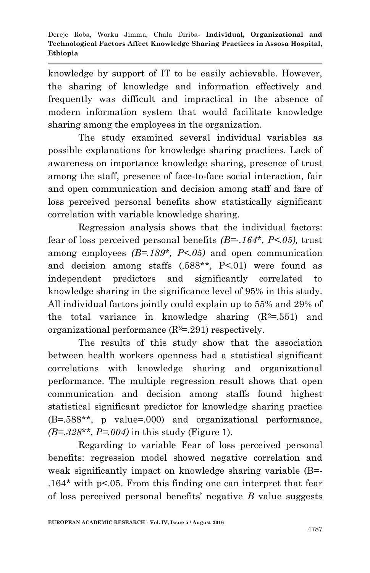knowledge by support of IT to be easily achievable. However, the sharing of knowledge and information effectively and frequently was difficult and impractical in the absence of modern information system that would facilitate knowledge sharing among the employees in the organization.

The study examined several individual variables as possible explanations for knowledge sharing practices. Lack of awareness on importance knowledge sharing, presence of trust among the staff, presence of face-to-face social interaction, fair and open communication and decision among staff and fare of loss perceived personal benefits show statistically significant correlation with variable knowledge sharing.

Regression analysis shows that the individual factors: fear of loss perceived personal benefits *(B=-.164\*, P<.05),* trust among employees *(B=.189\*, P<.05)* and open communication and decision among staffs (.588\*\*, P<.01) were found as independent predictors and significantly correlated to knowledge sharing in the significance level of 95% in this study. All individual factors jointly could explain up to 55% and 29% of the total variance in knowledge sharing  $(R^2=0.551)$  and organizational performance  $(R^2=291)$  respectively.

The results of this study show that the association between health workers openness had a statistical significant correlations with knowledge sharing and organizational performance. The multiple regression result shows that open communication and decision among staffs found highest statistical significant predictor for knowledge sharing practice (B=.588\*\*, p value=.000) and organizational performance, *(B=.328\*\*, P=.004)* in this study (Figure 1).

Regarding to variable Fear of loss perceived personal benefits: regression model showed negative correlation and weak significantly impact on knowledge sharing variable (B=- .164\* with p<.05. From this finding one can interpret that fear of loss perceived personal benefits' negative *B* value suggests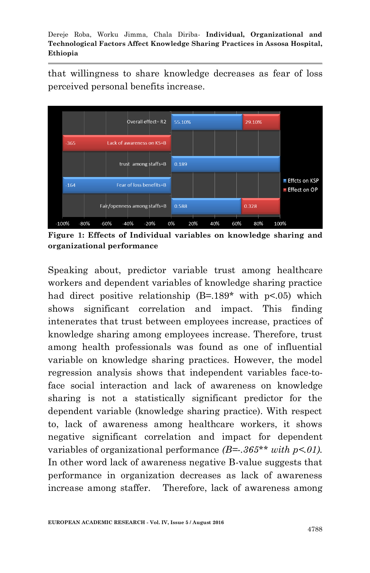that willingness to share knowledge decreases as fear of loss perceived personal benefits increase.



**Figure 1: Effects of Individual variables on knowledge sharing and organizational performance**

Speaking about, predictor variable trust among healthcare workers and dependent variables of knowledge sharing practice had direct positive relationship  $(B=.189^*$  with  $p<.05$ ) which shows significant correlation and impact. This finding intenerates that trust between employees increase, practices of knowledge sharing among employees increase. Therefore, trust among health professionals was found as one of influential variable on knowledge sharing practices. However, the model regression analysis shows that independent variables face-toface social interaction and lack of awareness on knowledge sharing is not a statistically significant predictor for the dependent variable (knowledge sharing practice). With respect to, lack of awareness among healthcare workers, it shows negative significant correlation and impact for dependent variables of organizational performance  $(B = .365** with p < 0.01$ . In other word lack of awareness negative B-value suggests that performance in organization decreases as lack of awareness increase among staffer. Therefore, lack of awareness among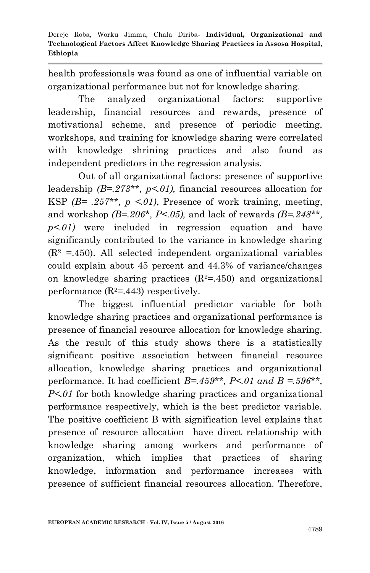health professionals was found as one of influential variable on organizational performance but not for knowledge sharing.

The analyzed organizational factors: supportive leadership, financial resources and rewards, presence of motivational scheme, and presence of periodic meeting, workshops, and training for knowledge sharing were correlated with knowledge shrining practices and also found as independent predictors in the regression analysis.

Out of all organizational factors: presence of supportive leadership *(B=.273\*\*, p<.01),* financial resources allocation for KSP  $(B= .257**, p < 01)$ , Presence of work training, meeting, and workshop *(B=.206\*, P<.05),* and lack of rewards *(B=.248\*\*, p<.01)* were included in regression equation and have significantly contributed to the variance in knowledge sharing  $(R<sup>2</sup> = .450)$ . All selected independent organizational variables could explain about 45 percent and 44.3% of variance/changes on knowledge sharing practices  $(R^2=450)$  and organizational performance  $(R^2=443)$  respectively.

The biggest influential predictor variable for both knowledge sharing practices and organizational performance is presence of financial resource allocation for knowledge sharing. As the result of this study shows there is a statistically significant positive association between financial resource allocation, knowledge sharing practices and organizational performance. It had coefficient *B=.459\*\*, P<.01 and B =.596\*\*, P<.01* for both knowledge sharing practices and organizational performance respectively, which is the best predictor variable. The positive coefficient B with signification level explains that presence of resource allocation have direct relationship with knowledge sharing among workers and performance of organization, which implies that practices of sharing knowledge, information and performance increases with presence of sufficient financial resources allocation. Therefore,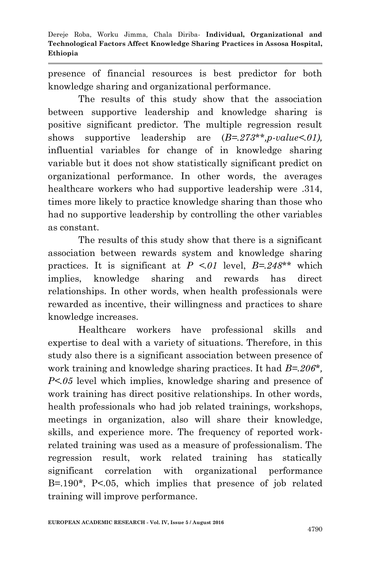presence of financial resources is best predictor for both knowledge sharing and organizational performance.

The results of this study show that the association between supportive leadership and knowledge sharing is positive significant predictor. The multiple regression result shows supportive leadership are (*B=.273\*\*,p-value<.01),* influential variables for change of in knowledge sharing variable but it does not show statistically significant predict on organizational performance. In other words, the averages healthcare workers who had supportive leadership were .314, times more likely to practice knowledge sharing than those who had no supportive leadership by controlling the other variables as constant.

The results of this study show that there is a significant association between rewards system and knowledge sharing practices. It is significant at  $P \le 01$  level,  $B = 248**$  which implies, knowledge sharing and rewards has direct relationships. In other words, when health professionals were rewarded as incentive, their willingness and practices to share knowledge increases.

Healthcare workers have professional skills and expertise to deal with a variety of situations. Therefore, in this study also there is a significant association between presence of work training and knowledge sharing practices. It had *B=.206\*, P<.05* level which implies, knowledge sharing and presence of work training has direct positive relationships. In other words, health professionals who had job related trainings, workshops, meetings in organization, also will share their knowledge, skills, and experience more. The frequency of reported workrelated training was used as a measure of professionalism. The regression result, work related training has statically significant correlation with organizational performance B=.190\*, P<.05, which implies that presence of job related training will improve performance.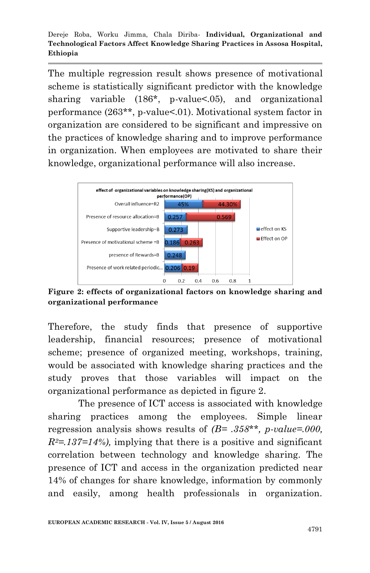The multiple regression result shows presence of motivational scheme is statistically significant predictor with the knowledge sharing variable (186\*, p-value<.05), and organizational performance (263\*\*, p-value<.01). Motivational system factor in organization are considered to be significant and impressive on the practices of knowledge sharing and to improve performance in organization. When employees are motivated to share their knowledge, organizational performance will also increase.



**Figure 2: effects of organizational factors on knowledge sharing and organizational performance**

Therefore, the study finds that presence of supportive leadership, financial resources; presence of motivational scheme; presence of organized meeting, workshops, training, would be associated with knowledge sharing practices and the study proves that those variables will impact on the organizational performance as depicted in figure 2.

The presence of ICT access is associated with knowledge sharing practices among the employees. Simple linear regression analysis shows results of *(B= .358\*\*, p-value=.000,*   $R^2 = 137 = 14\%$ , implying that there is a positive and significant correlation between technology and knowledge sharing. The presence of ICT and access in the organization predicted near 14% of changes for share knowledge, information by commonly and easily, among health professionals in organization.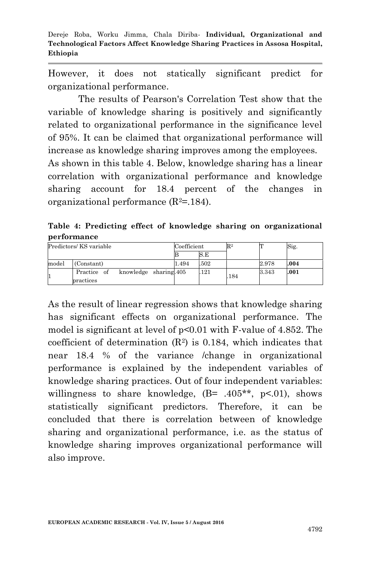However, it does not statically significant predict for organizational performance.

The results of Pearson's Correlation Test show that the variable of knowledge sharing is positively and significantly related to organizational performance in the significance level of 95%. It can be claimed that organizational performance will increase as knowledge sharing improves among the employees. As shown in this table 4. Below, knowledge sharing has a linear correlation with organizational performance and knowledge

sharing account for 18.4 percent of the changes in organizational performance  $(R^2=184)$ .

**Table 4: Predicting effect of knowledge sharing on organizational performance**

|       | Predictors/KS variable                             | Coefficient |      | $\mathbb{R}^2$ |       | Sig. |
|-------|----------------------------------------------------|-------------|------|----------------|-------|------|
|       |                                                    |             | S.E  |                |       |      |
| model | (Constant)                                         | 1.494       | .502 |                | 2.978 | .004 |
|       | knowledge sharing. 405<br>Practice of<br>practices |             | .121 | 184            | 3.343 | .001 |

As the result of linear regression shows that knowledge sharing has significant effects on organizational performance. The model is significant at level of p<0.01 with F-value of 4.852. The coefficient of determination  $(R^2)$  is 0.184, which indicates that near 18.4 % of the variance /change in organizational performance is explained by the independent variables of knowledge sharing practices. Out of four independent variables: willingness to share knowledge,  $(B = .405**, p<.01)$ , shows statistically significant predictors. Therefore, it can be concluded that there is correlation between of knowledge sharing and organizational performance, i.e. as the status of knowledge sharing improves organizational performance will also improve.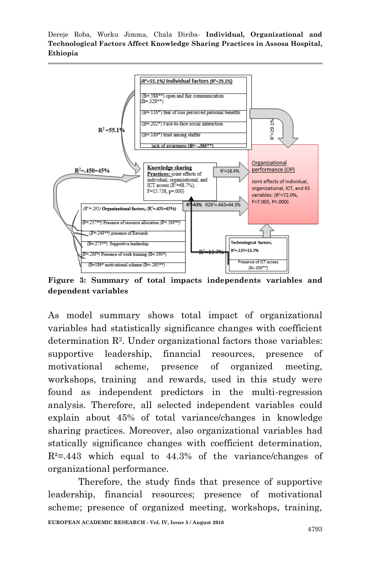

**Figure 3: Summary of total impacts independents variables and dependent variables** 

As model summary shows total impact of organizational variables had statistically significance changes with coefficient determination R<sup>2</sup> . Under organizational factors those variables: supportive leadership, financial resources, presence of motivational scheme, presence of organized meeting, workshops, training and rewards, used in this study were found as independent predictors in the multi-regression analysis. Therefore, all selected independent variables could explain about 45% of total variance/changes in knowledge sharing practices. Moreover, also organizational variables had statically significance changes with coefficient determination,  $R^2 = 0.443$  which equal to 44.3% of the variance/changes of organizational performance.

Therefore, the study finds that presence of supportive leadership, financial resources; presence of motivational scheme; presence of organized meeting, workshops, training,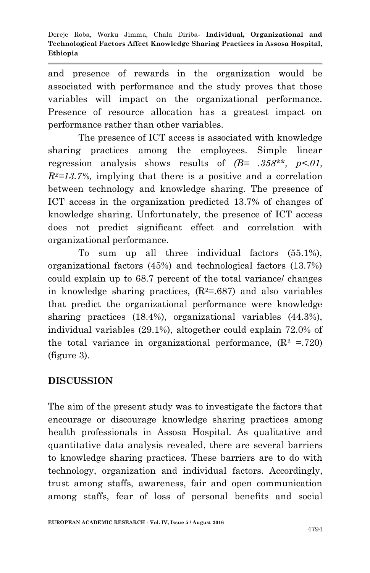and presence of rewards in the organization would be associated with performance and the study proves that those variables will impact on the organizational performance. Presence of resource allocation has a greatest impact on performance rather than other variables.

The presence of ICT access is associated with knowledge sharing practices among the employees. Simple linear regression analysis shows results of *(B= .358\*\*, p<.01,*   $R^2 = 13.7\%$ , implying that there is a positive and a correlation between technology and knowledge sharing. The presence of ICT access in the organization predicted 13.7% of changes of knowledge sharing. Unfortunately, the presence of ICT access does not predict significant effect and correlation with organizational performance.

To sum up all three individual factors (55.1%), organizational factors (45%) and technological factors (13.7%) could explain up to 68.7 percent of the total variance/ changes in knowledge sharing practices,  $(R^2 = .687)$  and also variables that predict the organizational performance were knowledge sharing practices (18.4%), organizational variables (44.3%), individual variables (29.1%), altogether could explain 72.0% of the total variance in organizational performance,  $(R^2 = 720)$ (figure 3).

# **DISCUSSION**

The aim of the present study was to investigate the factors that encourage or discourage knowledge sharing practices among health professionals in Assosa Hospital. As qualitative and quantitative data analysis revealed, there are several barriers to knowledge sharing practices. These barriers are to do with technology, organization and individual factors. Accordingly, trust among staffs, awareness, fair and open communication among staffs, fear of loss of personal benefits and social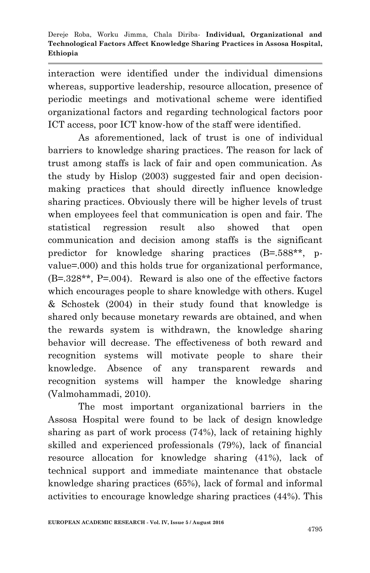interaction were identified under the individual dimensions whereas, supportive leadership, resource allocation, presence of periodic meetings and motivational scheme were identified organizational factors and regarding technological factors poor ICT access, poor ICT know-how of the staff were identified.

As aforementioned, lack of trust is one of individual barriers to knowledge sharing practices. The reason for lack of trust among staffs is lack of fair and open communication. As the study by Hislop (2003) suggested fair and open decisionmaking practices that should directly influence knowledge sharing practices. Obviously there will be higher levels of trust when employees feel that communication is open and fair. The statistical regression result also showed that open communication and decision among staffs is the significant predictor for knowledge sharing practices (B=.588\*\*, pvalue=.000) and this holds true for organizational performance, (B=.328\*\*, P=.004). Reward is also one of the effective factors which encourages people to share knowledge with others. Kugel & Schostek (2004) in their study found that knowledge is shared only because monetary rewards are obtained, and when the rewards system is withdrawn, the knowledge sharing behavior will decrease. The effectiveness of both reward and recognition systems will motivate people to share their knowledge. Absence of any transparent rewards and recognition systems will hamper the knowledge sharing (Valmohammadi, 2010).

The most important organizational barriers in the Assosa Hospital were found to be lack of design knowledge sharing as part of work process (74%), lack of retaining highly skilled and experienced professionals (79%), lack of financial resource allocation for knowledge sharing (41%), lack of technical support and immediate maintenance that obstacle knowledge sharing practices (65%), lack of formal and informal activities to encourage knowledge sharing practices (44%). This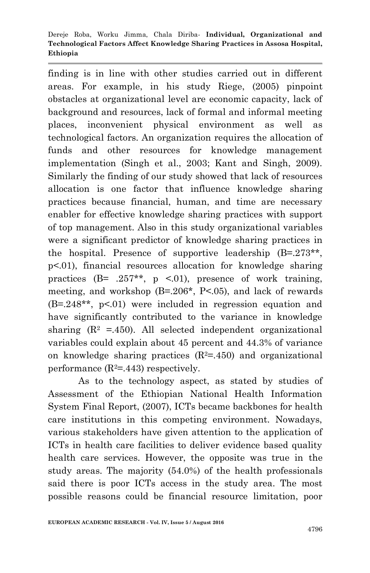finding is in line with other studies carried out in different areas. For example, in his study Riege, (2005) pinpoint obstacles at organizational level are economic capacity, lack of background and resources, lack of formal and informal meeting places, inconvenient physical environment as well as technological factors. An organization requires the allocation of funds and other resources for knowledge management implementation (Singh et al., 2003; Kant and Singh, 2009). Similarly the finding of our study showed that lack of resources allocation is one factor that influence knowledge sharing practices because financial, human, and time are necessary enabler for effective knowledge sharing practices with support of top management. Also in this study organizational variables were a significant predictor of knowledge sharing practices in the hospital. Presence of supportive leadership (B=.273\*\*, p<.01), financial resources allocation for knowledge sharing practices  $(B= .257**, p \le 0.01)$ , presence of work training, meeting, and workshop (B=.206\*, P<.05), and lack of rewards (B=.248\*\*, p<.01) were included in regression equation and have significantly contributed to the variance in knowledge sharing  $(R^2 = .450)$ . All selected independent organizational variables could explain about 45 percent and 44.3% of variance on knowledge sharing practices  $(R^2=450)$  and organizational performance  $(R^2=443)$  respectively.

As to the technology aspect, as stated by studies of Assessment of the Ethiopian National Health Information System Final Report, (2007), ICTs became backbones for health care institutions in this competing environment. Nowadays, various stakeholders have given attention to the application of ICTs in health care facilities to deliver evidence based quality health care services. However, the opposite was true in the study areas. The majority (54.0%) of the health professionals said there is poor ICTs access in the study area. The most possible reasons could be financial resource limitation, poor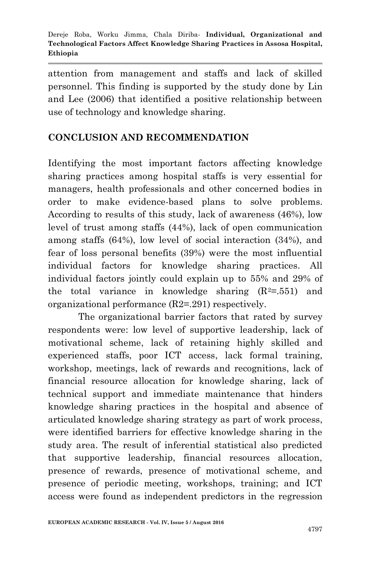attention from management and staffs and lack of skilled personnel. This finding is supported by the study done by Lin and Lee (2006) that identified a positive relationship between use of technology and knowledge sharing.

# **CONCLUSION AND RECOMMENDATION**

Identifying the most important factors affecting knowledge sharing practices among hospital staffs is very essential for managers, health professionals and other concerned bodies in order to make evidence-based plans to solve problems. According to results of this study, lack of awareness (46%), low level of trust among staffs (44%), lack of open communication among staffs (64%), low level of social interaction (34%), and fear of loss personal benefits (39%) were the most influential individual factors for knowledge sharing practices. All individual factors jointly could explain up to 55% and 29% of the total variance in knowledge sharing  $(R^2=0.551)$  and organizational performance (R2=.291) respectively.

The organizational barrier factors that rated by survey respondents were: low level of supportive leadership, lack of motivational scheme, lack of retaining highly skilled and experienced staffs, poor ICT access, lack formal training, workshop, meetings, lack of rewards and recognitions, lack of financial resource allocation for knowledge sharing, lack of technical support and immediate maintenance that hinders knowledge sharing practices in the hospital and absence of articulated knowledge sharing strategy as part of work process, were identified barriers for effective knowledge sharing in the study area. The result of inferential statistical also predicted that supportive leadership, financial resources allocation, presence of rewards, presence of motivational scheme, and presence of periodic meeting, workshops, training; and ICT access were found as independent predictors in the regression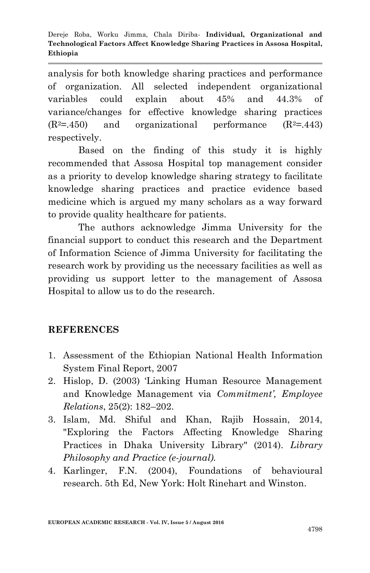analysis for both knowledge sharing practices and performance of organization. All selected independent organizational variables could explain about 45% and 44.3% of variance/changes for effective knowledge sharing practices  $(R<sup>2</sup>=.450)$  and organizational performance  $(R<sup>2</sup>=.443)$ respectively.

Based on the finding of this study it is highly recommended that Assosa Hospital top management consider as a priority to develop knowledge sharing strategy to facilitate knowledge sharing practices and practice evidence based medicine which is argued my many scholars as a way forward to provide quality healthcare for patients.

The authors acknowledge Jimma University for the financial support to conduct this research and the Department of Information Science of Jimma University for facilitating the research work by providing us the necessary facilities as well as providing us support letter to the management of Assosa Hospital to allow us to do the research.

## **REFERENCES**

- 1. Assessment of the Ethiopian National Health Information System Final Report, 2007
- 2. Hislop, D. (2003) 'Linking Human Resource Management and Knowledge Management via *Commitment', Employee Relations*, 25(2): 182–202.
- 3. Islam, Md. Shiful and Khan, Rajib Hossain, 2014, "Exploring the Factors Affecting Knowledge Sharing Practices in Dhaka University Library" (2014). *Library Philosophy and Practice (e-journal).*
- 4. Karlinger, F.N. (2004), Foundations of behavioural research. 5th Ed, New York: Holt Rinehart and Winston.